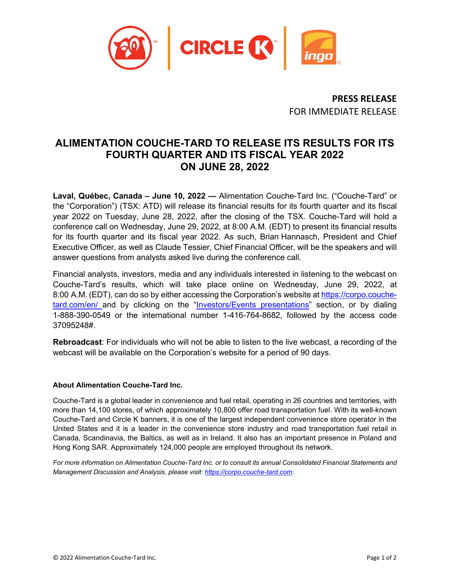

**PRESS RELEASE** FOR IMMEDIATE RELEASE

## **ALIMENTATION COUCHE-TARD TO RELEASE ITS RESULTS FOR ITS FOURTH QUARTER AND ITS FISCAL YEAR 2022 ON JUNE 28, 2022**

**Laval, Québec, Canada – June 10, 2022 —** Alimentation Couche-Tard Inc. ("Couche-Tard" or the "Corporation") (TSX: ATD) will release its financial results for its fourth quarter and its fiscal year 2022 on Tuesday, June 28, 2022, after the closing of the TSX. Couche-Tard will hold a conference call on Wednesday, June 29, 2022, at 8:00 A.M. (EDT) to present its financial results for its fourth quarter and its fiscal year 2022. As such, Brian Hannasch, President and Chief Executive Officer, as well as Claude Tessier, Chief Financial Officer, will be the speakers and will answer questions from analysts asked live during the conference call.

Financial analysts, investors, media and any individuals interested in listening to the webcast on Couche-Tard's results, which will take place online on Wednesday, June 29, 2022, at 8:00 A.M. (EDT), can do so by either accessing the Corporation's website at [https://corpo.couche](https://corpo.couche-tard.com/en/)[tard.com/en/](https://corpo.couche-tard.com/en/) and by clicking on the ["Investors/Events](https://corpo.couche-tard.com/en/investors/events-presentations/) presentations" section, or by dialing 1-888-390-0549 or the international number 1-416-764-8682, followed by the access code 37095248#.

**Rebroadcast**: For individuals who will not be able to listen to the live webcast, a recording of the webcast will be available on the Corporation's website for a period of 90 days.

## **About Alimentation Couche-Tard Inc.**

Couche-Tard is a global leader in convenience and fuel retail, operating in 26 countries and territories, with more than 14,100 stores, of which approximately 10,800 offer road transportation fuel. With its well-known Couche-Tard and Circle K banners, it is one of the largest independent convenience store operator in the United States and it is a leader in the convenience store industry and road transportation fuel retail in Canada, Scandinavia, the Baltics, as well as in Ireland. It also has an important presence in Poland and Hong Kong SAR. Approximately 124,000 people are employed throughout its network.

*For more information on Alimentation Couche-Tard Inc. or to consult its annual Consolidated Financial Statements and Management Discussion and Analysis, please visit: [https://corpo.couche-tard.com](https://corpo.couchetard.com/)*.